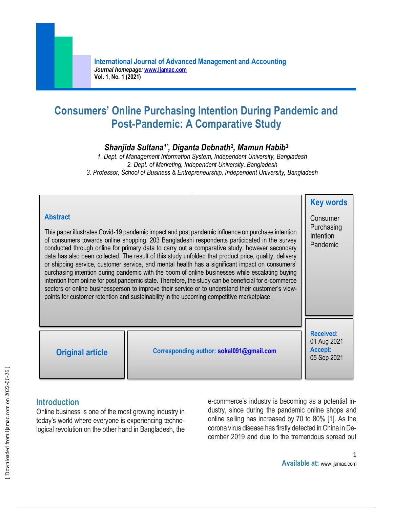# **Consumers' Online Purchasing Intention During Pandemic and Post-Pandemic: A Comparative Study**

# *Shanjida Sultana1\* , Diganta Debnath<sup>2</sup> , Mamun Habib<sup>3</sup>*

*1. Dept. of Management Information System, Independent University, Bangladesh 2. Dept. of Marketing, Independent University, Bangladesh 3. Professor, School of Business & Entrepreneurship, Independent University, Bangladesh*

| <b>Abstract</b><br>This paper illustrates Covid-19 pandemic impact and post pandemic influence on purchase intention<br>of consumers towards online shopping. 203 Bangladeshi respondents participated in the survey<br>conducted through online for primary data to carry out a comparative study, however secondary<br>data has also been collected. The result of this study unfolded that product price, quality, delivery<br>or shipping service, customer service, and mental health has a significant impact on consumers'<br>purchasing intention during pandemic with the boom of online businesses while escalating buying<br>intention from online for post pandemic state. Therefore, the study can be beneficial for e-commerce<br>sectors or online businessperson to improve their service or to understand their customer's view-<br>points for customer retention and sustainability in the upcoming competitive marketplace. |                                          | <b>Key words</b><br>Consumer<br>Purchasing<br>Intention<br>Pandemic |
|------------------------------------------------------------------------------------------------------------------------------------------------------------------------------------------------------------------------------------------------------------------------------------------------------------------------------------------------------------------------------------------------------------------------------------------------------------------------------------------------------------------------------------------------------------------------------------------------------------------------------------------------------------------------------------------------------------------------------------------------------------------------------------------------------------------------------------------------------------------------------------------------------------------------------------------------|------------------------------------------|---------------------------------------------------------------------|
| <b>Original article</b>                                                                                                                                                                                                                                                                                                                                                                                                                                                                                                                                                                                                                                                                                                                                                                                                                                                                                                                        | Corresponding author: sokal091@gmail.com | <b>Received:</b><br>01 Aug 2021<br>Accept:<br>05 Sep 2021           |

# **Introduction**

Online business is one of the most growing industry in today's world where everyone is experiencing technological revolution on the other hand in Bangladesh, the e-commerce's industry is becoming as a potential industry, since during the pandemic online shops and online selling has increased by 70 to 80% [1]. As the corona virus disease has firstly detected in China in December 2019 and due to the tremendous spread out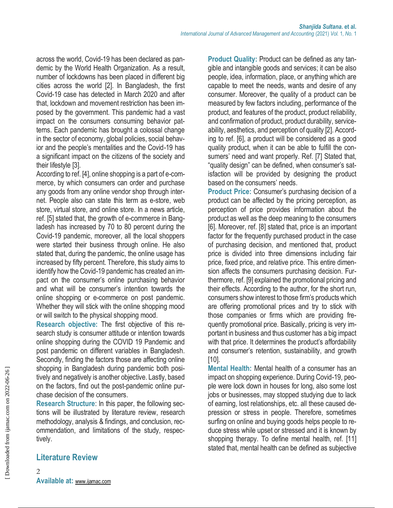across the world, Covid-19 has been declared as pandemic by the World Health Organization. As a result, number of lockdowns has been placed in different big cities across the world [2]. In Bangladesh, the first Covid-19 case has detected in March 2020 and after that, lockdown and movement restriction has been imposed by the government. This pandemic had a vast impact on the consumers consuming behavior patterns. Each pandemic has brought a colossal change in the sector of economy, global policies, social behavior and the people's mentalities and the Covid-19 has a significant impact on the citizens of the society and their lifestyle [3].

According to ref. [4], online shopping is a part of e-commerce, by which consumers can order and purchase any goods from any online vendor shop through internet. People also can state this term as e-store, web store, virtual store, and online store. In a news article, ref. [5] stated that, the growth of e-commerce in Bangladesh has increased by 70 to 80 percent during the Covid-19 pandemic, moreover, all the local shoppers were started their business through online. He also stated that, during the pandemic, the online usage has increased by fifty percent. Therefore, this study aims to identify how the Covid-19 pandemic has created an impact on the consumer's online purchasing behavior and what will be consumer's intention towards the online shopping or e-commerce on post pandemic. Whether they will stick with the online shopping mood or will switch to the physical shopping mood.

**Research objective:** The first objective of this research study is consumer attitude or intention towards online shopping during the COVID 19 Pandemic and post pandemic on different variables in Bangladesh. Secondly, finding the factors those are affecting online shopping in Bangladesh during pandemic both positively and negatively is another objective. Lastly, based on the factors, find out the post-pandemic online purchase decision of the consumers.

**Research Structure**: In this paper, the following sections will be illustrated by literature review, research methodology, analysis & findings, and conclusion, recommendation, and limitations of the study, respectively.

**Product Quality:** Product can be defined as any tangible and intangible goods and services; it can be also people, idea, information, place, or anything which are capable to meet the needs, wants and desire of any consumer. Moreover, the quality of a product can be measured by few factors including, performance of the product, and features of the product, product reliability, and confirmation of product, product durability, serviceability, aesthetics, and perception of quality [2]. According to ref. [6], a product will be considered as a good quality product, when it can be able to fulfill the consumers' need and want properly. Ref. [7] Stated that, "quality design" can be defined, when consumer's satisfaction will be provided by designing the product based on the consumers' needs.

**Product Price:** Consumer's purchasing decision of a product can be affected by the pricing perception, as perception of price provides information about the product as well as the deep meaning to the consumers [6]. Moreover, ref. [8] stated that, price is an important factor for the frequently purchased product in the case of purchasing decision, and mentioned that, product price is divided into three dimensions including fair price, fixed price, and relative price. This entire dimension affects the consumers purchasing decision. Furthermore, ref. [9] explained the promotional pricing and their effects. According to the author, for the short run, consumers show interest to those firm's products which are offering promotional prices and try to stick with those companies or firms which are providing frequently promotional price. Basically, pricing is very important in business and thus customer has a big impact with that price. It determines the product's affordability and consumer's retention, sustainability, and growth [10].

**Mental Health:** Mental health of a consumer has an impact on shopping experience. During Covid-19, people were lock down in houses for long, also some lost jobs or businesses, may stopped studying due to lack of earning, lost relationships, etc. all these caused depression or stress in people. Therefore, sometimes surfing on online and buying goods helps people to reduce stress while upset or stressed and it is known by shopping therapy. To define mental health, ref. [11] stated that, mental health can be defined as subjective

# **Literature Review**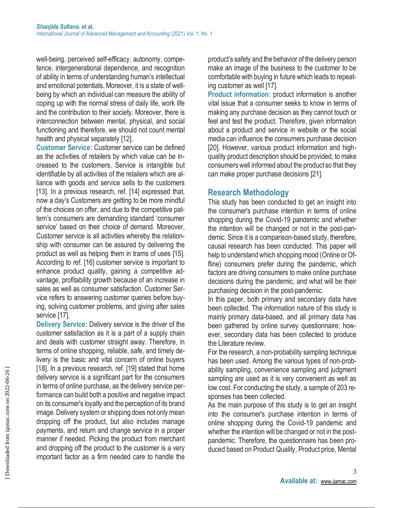well-being, perceived self-efficacy, autonomy, competence, intergenerational dependence, and recognition of ability in terms of understanding human's intellectual and emotional potentials. Moreover, it is a state of wellbeing by which an individual can measure the ability of coping up with the normal stress of daily life, work life and the contribution to their society. Moreover, there is interconnection between mental, physical, and social functioning and therefore, we should not count mental health and physical separately [12].

**Customer Service:** Customer service can be defined as the activities of retailers by which value can be increased to the customers. Service is intangible but identifiable by all activities of the retailers which are alliance with goods and service sells to the customers [13]. In a previous research, ref. [14] expressed that, now a day's Customers are getting to be more mindful of the choices on offer, and due to the competitive pattern's consumers are demanding standard 'consumer service' based on their choice of demand. Moreover, Customer service is all activities whereby the relationship with consumer can be assured by delivering the product as well as helping them in trams of uses [15]. According to ref. [16] customer service is important to enhance product quality, gaining a competitive advantage, profitability growth because of an increase in sales as well as consumer satisfaction. Customer Service refers to answering customer queries before buying, solving customer problems, and giving after sales service [17].

**Delivery Service:** Delivery service is the driver of the customer satisfaction as it is a part of a supply chain and deals with customer straight away. Therefore, in terms of online shopping, reliable, safe, and timely delivery is the basic and vital concern of online buyers [18]. In a previous research, ref. [19] stated that home delivery service is a significant part for the consumers in terms of online purchase, as the delivery service performance can build both a positive and negative impact on its consumer's loyalty and the perception of its brand image. Delivery system or shipping does not only mean dropping off the product, but also includes manage payments, and return and change service in a proper manner if needed. Picking the product from merchant and dropping off the product to the customer is a very important factor as a firm needed care to handle the

product's safety and the behavior of the delivery person make an image of the business to the customer to be comfortable with buying in future which leads to repeating customer as well [17].

**Product information:** product information is another vital issue that a consumer seeks to know in terms of making any purchase decision as they cannot touch or feel and test the product. Therefore, given information about a product and service in website or the social media can influence the consumers purchase decision [20]. However, various product information and highquality product description should be provided, to make consumers well informed about the product so that they can make proper purchase decisions [21].

# **Research Methodology**

This study has been conducted to get an insight into the consumer's purchase intention in terms of online shopping during the Covid-19 pandemic and whether the intention will be changed or not in the post-pandemic. Since it is a comparison-based study, therefore, causal research has been conducted. This paper will help to understand which shopping mood (Online or Offline) consumers prefer during the pandemic, which factors are driving consumers to make online purchase decisions during the pandemic, and what will be their purchasing decision in the post-pandemic.

In this paper, both primary and secondary data have been collected. The information nature of this study is mainly primary data-based, and all primary data has been gathered by online survey questionnaire; however, secondary data has been collected to produce the Literature review.

For the research, a non-probability sampling technique has been used. Among the various types of non-probability sampling, convenience sampling and judgment sampling are used as it is very convenient as well as low cost. For conducting the study, a sample of 203 responses has been collected.

As the main purpose of this study is to get an insight into the consumer's purchase intention in terms of online shopping during the Covid-19 pandemic and whether the intention will be changed or not in the postpandemic. Therefore, the questionnaire has been produced based on Product Quality, Product price, Mental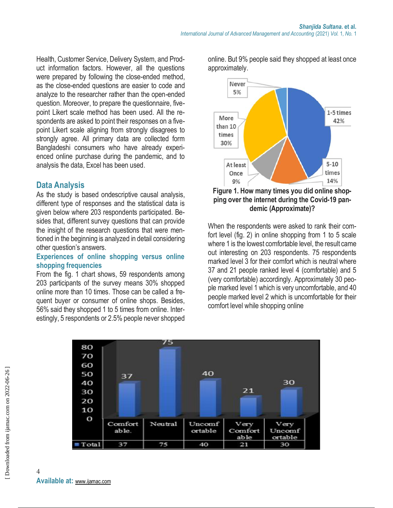Health, Customer Service, Delivery System, and Product information factors. However, all the questions were prepared by following the close-ended method, as the close-ended questions are easier to code and analyze to the researcher rather than the open-ended question. Moreover, to prepare the questionnaire, fivepoint Likert scale method has been used. All the respondents are asked to point their responses on a fivepoint Likert scale aligning from strongly disagrees to strongly agree. All primary data are collected form Bangladeshi consumers who have already experienced online purchase during the pandemic, and to analysis the data, Excel has been used.

# **Data Analysis**

As the study is based ondescriptive causal analysis, different type of responses and the statistical data is given below where 203 respondents participated. Besides that, different survey questions that can provide the insight of the research questions that were mentioned in the beginning is analyzed in detail considering other question's answers.

#### **Experiences of online shopping versus online shopping frequencies**

From the fig. 1 chart shows, 59 respondents among 203 participants of the survey means 30% shopped online more than 10 times. Those can be called a frequent buyer or consumer of online shops. Besides, 56% said they shopped 1 to 5 times from online. Interestingly, 5 respondents or 2.5% people never shopped online. But 9% people said they shopped at least once approximately.



**Figure 1. How many times you did online shopping over the internet during the Covid-19 pandemic (Approximate)?**

When the respondents were asked to rank their comfort level (fig. 2) in online shopping from 1 to 5 scale where 1 is the lowest comfortable level, the result came out interesting on 203 respondents. 75 respondents marked level 3 for their comfort which is neutral where 37 and 21 people ranked level 4 (comfortable) and 5 (very comfortable) accordingly. Approximately 30 people marked level 1 which is very uncomfortable, and 40 people marked level 2 which is uncomfortable for their comfort level while shopping online

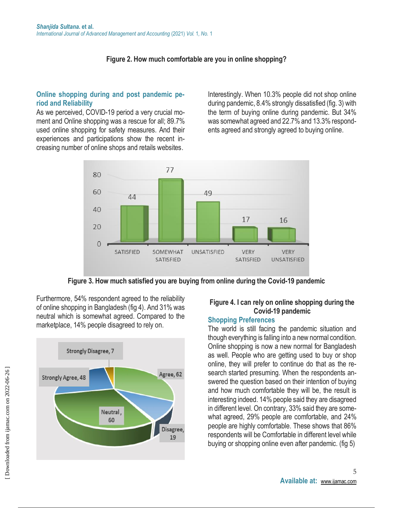# **Figure 2. How much comfortable are you in online shopping?**

### **Online shopping during and post pandemic period and Reliability**

As we perceived, COVID-19 period a very crucial moment and Online shopping was a rescue for all; 89.7% used online shopping for safety measures. And their experiences and participations show the recent increasing number of online shops and retails websites.

Interestingly. When 10.3% people did not shop online during pandemic, 8.4% strongly dissatisfied (fig. 3) with the term of buying online during pandemic. But 34% was somewhat agreed and 22.7% and 13.3% respondents agreed and strongly agreed to buying online.



**Figure 3. How much satisfied you are buying from online during the Covid-19 pandemic**



Furthermore, 54% respondent agreed to the reliability of online shopping in Bangladesh (fig 4). And 31% was neutral which is somewhat agreed. Compared to the marketplace, 14% people disagreed to rely on.

### **Figure 4. I can rely on online shopping during the Covid-19 pandemic**

#### **Shopping Preferences**

The world is still facing the pandemic situation and though everything is falling into a new normal condition. Online shopping is now a new normal for Bangladesh as well. People who are getting used to buy or shop online, they will prefer to continue do that as the research started presuming. When the respondents answered the question based on their intention of buying and how much comfortable they will be, the result is interesting indeed. 14% people said they are disagreed in different level. On contrary, 33% said they are somewhat agreed, 29% people are comfortable, and 24% people are highly comfortable. These shows that 86% respondents will be Comfortable in different level while buying or shopping online even after pandemic. (fig 5)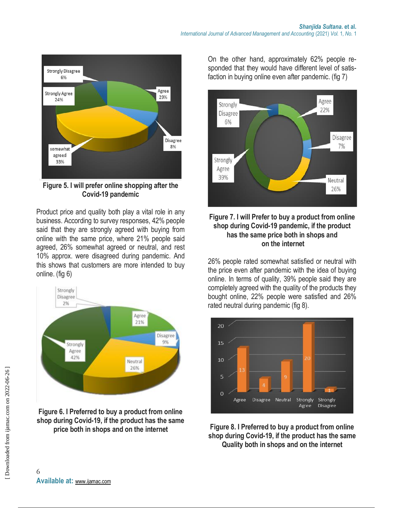

**Figure 5. I will prefer online shopping after the Covid-19 pandemic**

Product price and quality both play a vital role in any business. According to survey responses, 42% people said that they are strongly agreed with buying from online with the same price, where 21% people said agreed, 26% somewhat agreed or neutral, and rest 10% approx. were disagreed during pandemic. And this shows that customers are more intended to buy online. (fig 6)



**Figure 6. I Preferred to buy a product from online shop during Covid-19, if the product has the same price both in shops and on the internet**

On the other hand, approximately 62% people responded that they would have different level of satisfaction in buying online even after pandemic. (fig 7)



### **Figure 7. I will Prefer to buy a product from online shop during Covid-19 pandemic, if the product has the same price both in shops and on the internet**

26% people rated somewhat satisfied or neutral with the price even after pandemic with the idea of buying online. In terms of quality, 39% people said they are completely agreed with the quality of the products they bought online, 22% people were satisfied and 26% rated neutral during pandemic (fig 8).



**Figure 8. I Preferred to buy a product from online shop during Covid-19, if the product has the same Quality both in shops and on the internet**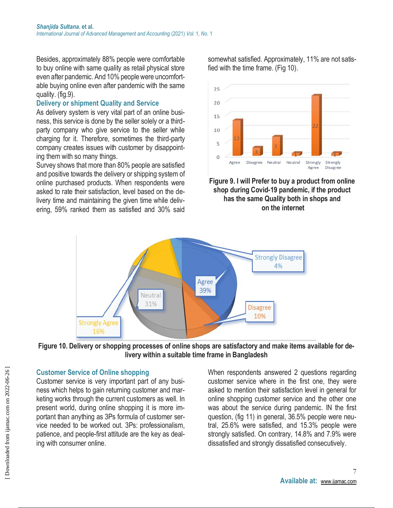Besides, approximately 88% people were comfortable to buy online with same quality as retail physical store even after pandemic. And 10% people were uncomfortable buying online even after pandemic with the same quality. (fig.9).

### **Delivery or shipment Quality and Service**

As delivery system is very vital part of an online business, this service is done by the seller solely or a thirdparty company who give service to the seller while charging for it. Therefore, sometimes the third-party company creates issues with customer by disappointing them with so many things.

Survey shows that more than 80% people are satisfied and positive towards the delivery or shipping system of online purchased products. When respondents were asked to rate their satisfaction, level based on the delivery time and maintaining the given time while delivering, 59% ranked them as satisfied and 30% said

somewhat satisfied. Approximately, 11% are not satisfied with the time frame. (Fig 10).



**Figure 9. I will Prefer to buy a product from online shop during Covid-19 pandemic, if the product has the same Quality both in shops and on the internet**



**Figure 10. Delivery or shopping processes of online shops are satisfactory and make items available for delivery within a suitable time frame in Bangladesh**

# **Customer Service of Online shopping**

Customer service is very important part of any business which helps to gain returning customer and marketing works through the current customers as well. In present world, during online shopping it is more important than anything as 3Ps formula of customer service needed to be worked out. 3Ps: professionalism, patience, and people-first attitude are the key as dealing with consumer online.

When respondents answered 2 questions regarding customer service where in the first one, they were asked to mention their satisfaction level in general for online shopping customer service and the other one was about the service during pandemic. IN the first question, (fig 11) in general, 36.5% people were neutral, 25.6% were satisfied, and 15.3% people were strongly satisfied. On contrary, 14.8% and 7.9% were dissatisfied and strongly dissatisfied consecutively.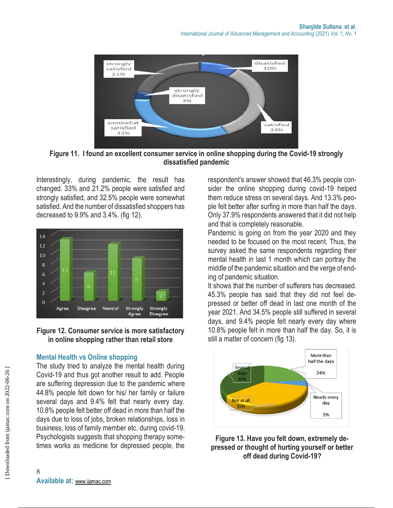

**Figure 11. I found an excellent consumer service in online shopping during the Covid-19 strongly dissatisfied pandemic** 

Interestingly, during pandemic, the result has changed. 33% and 21.2% people were satisfied and strongly satisfied, and 32.5% people were somewhat satisfied. And the number of dissatisfied shoppers has decreased to 9.9% and 3.4%. (fig 12).



### **Figure 12. Consumer service is more satisfactory in online shopping rather than retail store**

# **Mental Health vs Online shopping**

The study tried to analyze the mental health during Covid-19 and thus got another result to add. People are suffering depression due to the pandemic where 44.8% people felt down for his/ her family or failure several days and 9.4% felt that nearly every day. 10.8% people felt better off dead in more than half the days due to loss of jobs, broken relationships, loss in business, loss of family member etc. during covid-19. Psychologists suggests that shopping therapy sometimes works as medicine for depressed people, the respondent's answer showed that 46.3% people consider the online shopping during covid-19 helped them reduce stress on several days. And 13.3% people felt better after surfing in more than half the days. Only 37.9% respondents answered that it did not help and that is completely reasonable.

Pandemic is going on from the year 2020 and they needed to be focused on the most recent. Thus, the survey asked the same respondents regarding their mental health in last 1 month which can portray the middle of the pandemic situation and the verge of ending of pandemic situation.

It shows that the number of sufferers has decreased. 45.3% people has said that they did not feel depressed or better off dead in last one month of the year 2021. And 34.5% people still suffered in several days, and 9.4% people felt nearly every day where 10.8% people felt in more than half the day. So, it is still a matter of concern (fig 13).



**Figure 13. Have you felt down, extremely depressed or thought of hurting yourself or better off dead during Covid-19?**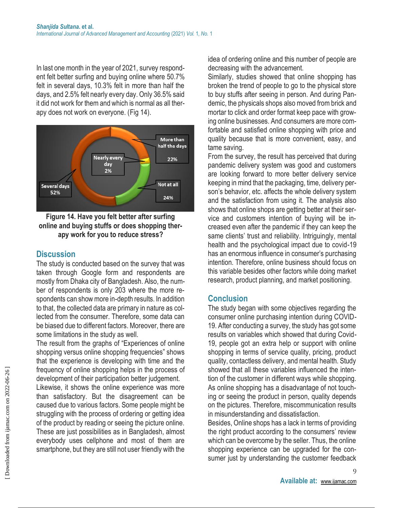In last one month in the year of 2021, survey respondent felt better surfing and buying online where 50.7% felt in several days, 10.3% felt in more than half the days, and 2.5% felt nearly every day. Only 36.5% said it did not work for them and which is normal as all therapy does not work on everyone. (Fig 14).



### **Figure 14. Have you felt better after surfing online and buying stuffs or does shopping therapy work for you to reduce stress?**

# **Discussion**

The study is conducted based on the survey that was taken through Google form and respondents are mostly from Dhaka city of Bangladesh. Also, the number of respondents is only 203 where the more respondents can show more in-depth results. In addition to that, the collected data are primary in nature as collected from the consumer. Therefore, some data can be biased due to different factors. Moreover, there are some limitations in the study as well.

The result from the graphs of "Experiences of online shopping versus online shopping frequencies" shows that the experience is developing with time and the frequency of online shopping helps in the process of development of their participation better judgement.

Likewise, it shows the online experience was more than satisfactory. But the disagreement can be caused due to various factors. Some people might be struggling with the process of ordering or getting idea of the product by reading or seeing the picture online. These are just possibilities as in Bangladesh, almost everybody uses cellphone and most of them are smartphone, but they are still not user friendly with the

idea of ordering online and this number of people are decreasing with the advancement.

Similarly, studies showed that online shopping has broken the trend of people to go to the physical store to buy stuffs after seeing in person. And during Pandemic, the physicals shops also moved from brick and mortar to click and order format keep pace with growing online businesses. And consumers are more comfortable and satisfied online shopping with price and quality because that is more convenient, easy, and tame saving.

From the survey, the result has perceived that during pandemic delivery system was good and customers are looking forward to more better delivery service keeping in mind that the packaging, time, delivery person's behavior, etc. affects the whole delivery system and the satisfaction from using it. The analysis also shows that online shops are getting better at their service and customers intention of buying will be increased even after the pandemic if they can keep the same clients' trust and reliability. Intriguingly, mental health and the psychological impact due to covid-19 has an enormous influence in consumer's purchasing intention. Therefore, online business should focus on this variable besides other factors while doing market research, product planning, and market positioning.

# **Conclusion**

The study began with some objectives regarding the consumer online purchasing intention during COVID-19. After conducting a survey, the study has got some results on variables which showed that during Covid-19, people got an extra help or support with online shopping in terms of service quality, pricing, product quality, contactless delivery, and mental health. Study showed that all these variables influenced the intention of the customer in different ways while shopping. As online shopping has a disadvantage of not touching or seeing the product in person, quality depends on the pictures. Therefore, miscommunication results in misunderstanding and dissatisfaction.

Besides, Online shops has a lack in terms of providing the right product according to the consumers' review which can be overcome by the seller. Thus, the online shopping experience can be upgraded for the consumer just by understanding the customer feedback

9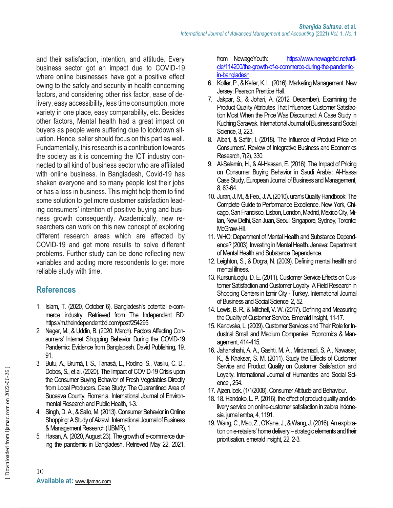and their satisfaction, intention, and attitude. Every business sector got an impact due to COVID-19 where online businesses have got a positive effect owing to the safety and security in health concerning factors, and considering other risk factor, ease of delivery, easy accessibility, less time consumption, more variety in one place, easy comparability, etc. Besides other factors, Mental health had a great impact on buyers as people were suffering due to lockdown situation. Hence, seller should focus on this part as well. Fundamentally, this research is a contribution towards the society as it is concerning the ICT industry connected to all kind of business sector who are affiliated with online business. In Bangladesh, Covid-19 has shaken everyone and so many people lost their jobs or has a loss in business. This might help them to find some solution to get more customer satisfaction leading consumers' intention of positive buying and business growth consequently. Academically, new researchers can work on this new concept of exploring different research areas which are affected by COVID-19 and get more results to solve different problems. Further study can be done reflecting new variables and adding more respondents to get more reliable study with time.

# **References**

- 1. Islam, T. (2020, October 6). Bangladesh's potential e-commerce industry. Retrieved from The Independent BD: https://m.theindependentbd.com/post/254295
- 2. Neger, M., & Uddin, B. (2020, March). Factors Affecting Consumers' Internet Shopping Behavior During the COVID-19 Pandemic: Evidence from Bangladesh. David Publishing, 19, 91.
- 3. Butu, A., Brumă, I. S., Tanasă, L., Rodino, S., Vasiliu, C. D., Dobos, S., et al. (2020). The Impact of COVID-19 Crisis upon the Consumer Buying Behavior of Fresh Vegetables Directly from Local Producers. Case Study: The Quarantined Area of Suceava County, Romania. International Journal of Environmental Research and Public Health, 1-3.
- 4. Singh, D. A., & Sailo, M. (2013). Consumer Behavior in Online Shopping: A Study of Aizawl. International Journal of Business & Management Research (IJBMR), 1
- 5. Hasan, A. (2020, August 23). The growth of e-commerce during the pandemic in Bangladesh. Retrieved May 22, 2021,

from NewageYouth: [https://www.newagebd.net/arti](https://www.newagebd.net/article/114200/the-growth-of-e-commerce-during-the-pandemic-in-bangladesh)[cle/114200/the-growth-of-e-commerce-during-the-pandemic](https://www.newagebd.net/article/114200/the-growth-of-e-commerce-during-the-pandemic-in-bangladesh)[in-bangladesh.](https://www.newagebd.net/article/114200/the-growth-of-e-commerce-during-the-pandemic-in-bangladesh)

- 6. Kotler, P., & Keller, K. L. (2016). Marketing Management. New Jersey: Pearson Prentice Hall.
- 7. Jakpar, S., & Johari, A. (2012, December). Examining the Product Quality Attributes That Influences Customer Satisfaction Most When the Price Was Discounted: A Case Study in Kuching Sarawak. International Journal of Business and Social Science, 3, 223.
- 8. Albari, & Safitri, I. (2018). The Influence of Product Price on Consumers'. Review of Integrative Business and Economics Research, 7(2), 330.
- 9. Al-Salamin, H., & Al-Hassan, E. (2016). The Impact of Pricing on Consumer Buying Behavior in Saudi Arabia: Al-Hassa Case Study. European Journal of Business and Management, 8, 63-64.
- 10. Juran, J. M., & Feo., J. A. (2010). uran's Quality Handbook: The Complete Guide to Performance Excellence. New York, Chicago, San Francisco, Lisbon, London, Madrid, Mexico City, Milan, New Delhi, San Juan, Seoul, Singapore, Sydney, Toronto: McGraw-Hill.
- 11. WHO: Department of Mental Health and Substance Dependence?(2003). Investing in Mental Health. Jeneva: Department of Mental Health and Substance Dependence.
- 12. Leighton, S., & Dogra, N. (2009). Defining mental health and mental illness.
- 13. Kursunluoglu, D. E. (2011). Customer Service Effects on Customer Satisfaction and Customer Loyalty: A Field Research in Shopping Centers in Izmir City - Turkey. International Journal of Business and Social Science, 2, 52.
- 14. Lewis, B. R., & Mitchell, V. W. (2017). Defining and Measuring the Quality of Customer Service. Emerald Insight, 11-17.
- 15. Kanovska, L. (2009). Customer Services and Their Role for Industrial Small and Medium Companies. Economics & Management, 414-415.
- 16. Jahanshahi, A. A., Gashti, M. A., Mirdamadi, S. A., Nawaser, K., & Khaksar, S. M. (2011). Study the Effects of Customer Service and Product Quality on Customer Satisfaction and Loyalty. International Journal of Humanities and Social Science , 254.
- 17. Ajzen.Icek. (1/1/2008). Consumer Attitude and Behaviour.
- 18. 18. Handoko, L. P. (2016). the effect of product quality and delivery service on online-customer satisfaction in zalora indonesia. jurnal emba, 4, 1191.
- 19. Wang, C., Mao, Z., O'Kane, J., & Wang, J. (2016). An exploration on e-retailers' home delivery – strategic elements and their prioritisation. emerald insight, 22, 2-3.